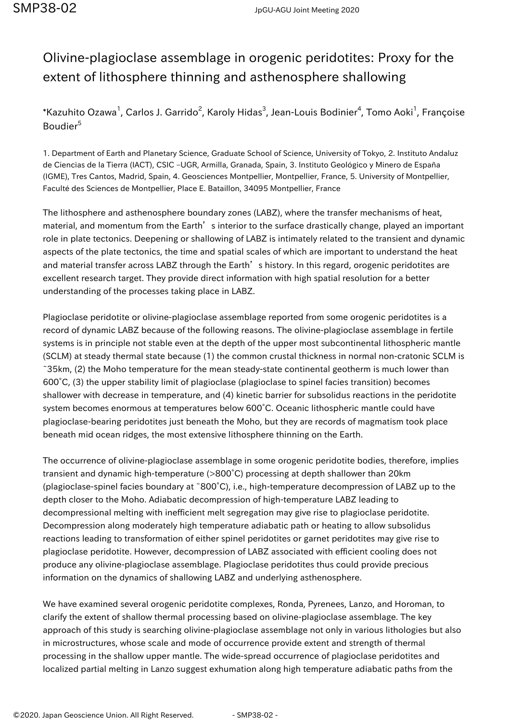## Olivine-plagioclase assemblage in orogenic peridotites: Proxy for the extent of lithosphere thinning and asthenosphere shallowing

 $\,$ \*Kazuhito Ozawa $^1$ , Carlos J. Garrido $^2$ , Karoly Hidas $^3$ , Jean-Louis Bodinier $^4$ , Tomo Aoki $^1$ , Françoise Boudier<sup>5</sup>

1. Department of Earth and Planetary Science, Graduate School of Science, University of Tokyo, 2. Instituto Andaluz de Ciencias de la Tierra (IACT), CSIC –UGR, Armilla, Granada, Spain, 3. Instituto Geológico y Minero de España (IGME), Tres Cantos, Madrid, Spain, 4. Geosciences Montpellier, Montpellier, France, 5. University of Montpellier, Faculté des Sciences de Montpellier, Place E. Bataillon, 34095 Montpellier, France

The lithosphere and asthenosphere boundary zones (LABZ), where the transfer mechanisms of heat, material, and momentum from the Earth's interior to the surface drastically change, played an important role in plate tectonics. Deepening or shallowing of LABZ is intimately related to the transient and dynamic aspects of the plate tectonics, the time and spatial scales of which are important to understand the heat and material transfer across LABZ through the Earth's history. In this regard, orogenic peridotites are excellent research target. They provide direct information with high spatial resolution for a better understanding of the processes taking place in LABZ.

Plagioclase peridotite or olivine-plagioclase assemblage reported from some orogenic peridotites is a record of dynamic LABZ because of the following reasons. The olivine-plagioclase assemblage in fertile systems is in principle not stable even at the depth of the upper most subcontinental lithospheric mantle (SCLM) at steady thermal state because (1) the common crustal thickness in normal non-cratonic SCLM is ~35km, (2) the Moho temperature for the mean steady-state continental geotherm is much lower than 600°C, (3) the upper stability limit of plagioclase (plagioclase to spinel facies transition) becomes shallower with decrease in temperature, and (4) kinetic barrier for subsolidus reactions in the peridotite system becomes enormous at temperatures below 600°C. Oceanic lithospheric mantle could have plagioclase-bearing peridotites just beneath the Moho, but they are records of magmatism took place beneath mid ocean ridges, the most extensive lithosphere thinning on the Earth.

The occurrence of olivine-plagioclase assemblage in some orogenic peridotite bodies, therefore, implies transient and dynamic high-temperature (>800°C) processing at depth shallower than 20km (plagioclase-spinel facies boundary at ~800°C), i.e., high-temperature decompression of LABZ up to the depth closer to the Moho. Adiabatic decompression of high-temperature LABZ leading to decompressional melting with inefficient melt segregation may give rise to plagioclase peridotite. Decompression along moderately high temperature adiabatic path or heating to allow subsolidus reactions leading to transformation of either spinel peridotites or garnet peridotites may give rise to plagioclase peridotite. However, decompression of LABZ associated with efficient cooling does not produce any olivine-plagioclase assemblage. Plagioclase peridotites thus could provide precious information on the dynamics of shallowing LABZ and underlying asthenosphere.

We have examined several orogenic peridotite complexes, Ronda, Pyrenees, Lanzo, and Horoman, to clarify the extent of shallow thermal processing based on olivine-plagioclase assemblage. The key approach of this study is searching olivine-plagioclase assemblage not only in various lithologies but also in microstructures, whose scale and mode of occurrence provide extent and strength of thermal processing in the shallow upper mantle. The wide-spread occurrence of plagioclase peridotites and localized partial melting in Lanzo suggest exhumation along high temperature adiabatic paths from the